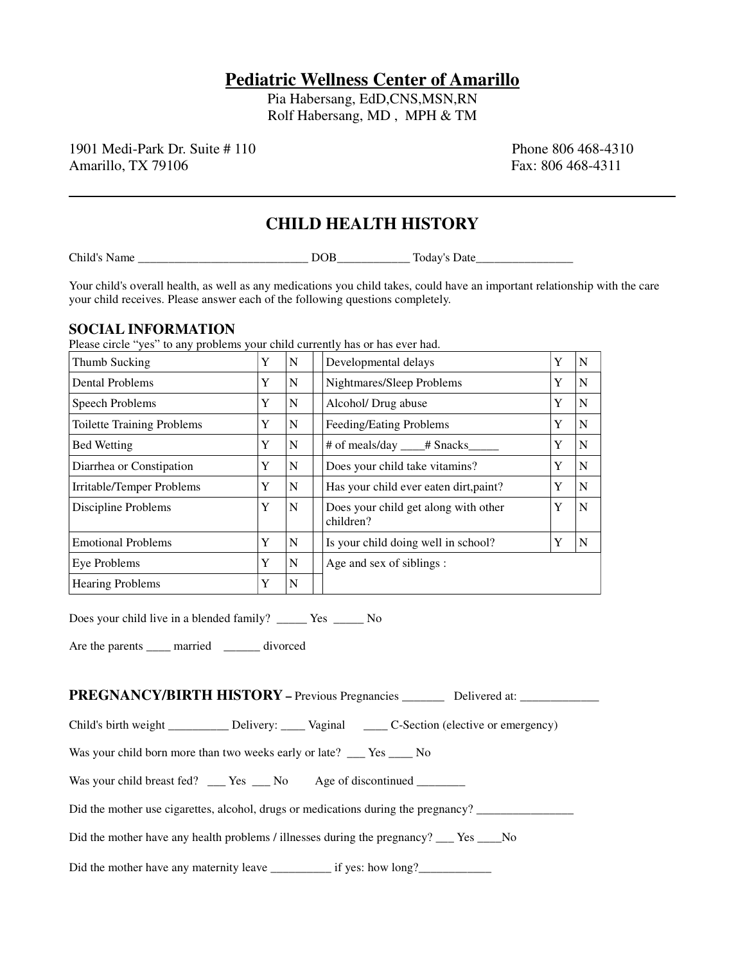# **Pediatric Wellness Center of Amarillo**

Pia Habersang, EdD,CNS,MSN,RN Rolf Habersang, MD , MPH & TM

1901 Medi-Park Dr. Suite # 110 **Phone 806 468-4310** Phone 806 468-4310 Amarillo, TX 79106 **Fax: 806 468-4311** 

# **CHILD HEALTH HISTORY**

Child's Name \_\_\_\_\_\_\_\_\_\_\_\_\_\_\_\_\_\_\_\_\_\_\_\_\_\_\_\_ DOB\_\_\_\_\_\_\_\_\_\_\_\_ Today's Date\_\_\_\_\_\_\_\_\_\_\_\_\_\_\_\_

Your child's overall health, as well as any medications you child takes, could have an important relationship with the care your child receives. Please answer each of the following questions completely.

#### **SOCIAL INFORMATION**

Please circle "yes" to any problems your child currently has or has ever had.

| Thumb Sucking                     | Y | N | Developmental delays                              | Y | N |
|-----------------------------------|---|---|---------------------------------------------------|---|---|
| <b>Dental Problems</b>            | Y | N | Nightmares/Sleep Problems                         | Y | N |
| Speech Problems                   | Y | N | Alcohol/Drug abuse                                | Y | N |
| <b>Toilette Training Problems</b> | Y | N | Feeding/Eating Problems                           | Y | N |
| <b>Bed Wetting</b>                | Y | N | # of meals/day ____# Snacks____                   | Y | N |
| Diarrhea or Constipation          | Y | N | Does your child take vitamins?                    | Y | N |
| Irritable/Temper Problems         | Y | N | Has your child ever eaten dirt, paint?            | Y | N |
| Discipline Problems               | Y | N | Does your child get along with other<br>children? | Y | N |
| <b>Emotional Problems</b>         | Y | N | Is your child doing well in school?               | Y | N |
| Eye Problems                      | Y | N | Age and sex of siblings :                         |   |   |
| <b>Hearing Problems</b>           | Y | N |                                                   |   |   |

Does your child live in a blended family? \_\_\_\_\_ Yes \_\_\_\_\_ No

Are the parents \_\_\_\_\_ married \_\_\_\_\_\_ divorced

PREGNANCY/BIRTH HISTORY - Previous Pregnancies \_\_\_\_\_\_\_\_ Delivered at: \_\_\_\_\_\_\_\_\_\_\_

Child's birth weight \_\_\_\_\_\_\_\_\_ Delivery: \_\_\_\_\_ Vaginal \_\_\_\_\_ C-Section (elective or emergency)

Was your child born more than two weeks early or late? \_\_\_ Yes \_\_\_\_ No

Was your child breast fed? \_\_\_ Yes \_\_\_ No Age of discontinued \_\_\_\_\_\_\_

Did the mother use cigarettes, alcohol, drugs or medications during the pregnancy? \_\_\_\_\_\_\_\_\_\_\_\_\_\_\_\_

Did the mother have any health problems / illnesses during the pregnancy? \_\_\_ Yes \_\_\_\_No

Did the mother have any maternity leave \_\_\_\_\_\_\_\_\_\_\_\_ if yes: how long?\_\_\_\_\_\_\_\_\_\_\_